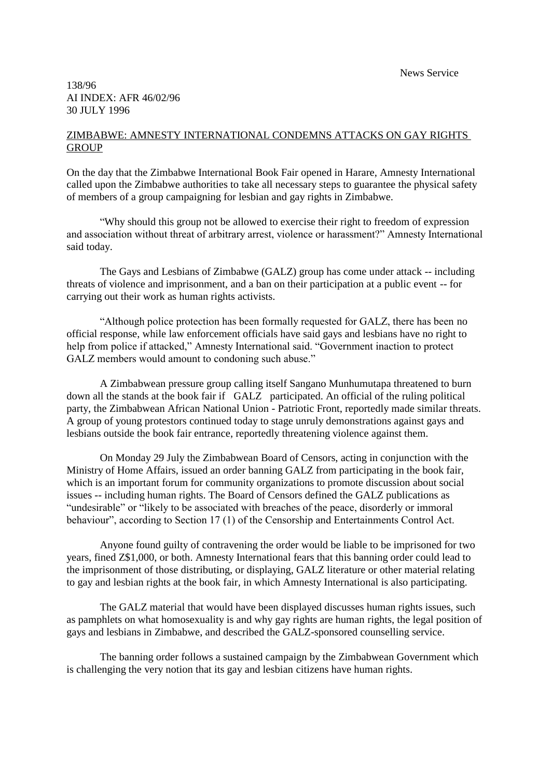News Service

## 138/96 AI INDEX: AFR 46/02/96 30 JULY 1996

## ZIMBABWE: AMNESTY INTERNATIONAL CONDEMNS ATTACKS ON GAY RIGHTS **GROUP**

On the day that the Zimbabwe International Book Fair opened in Harare, Amnesty International called upon the Zimbabwe authorities to take all necessary steps to guarantee the physical safety of members of a group campaigning for lesbian and gay rights in Zimbabwe.

"Why should this group not be allowed to exercise their right to freedom of expression and association without threat of arbitrary arrest, violence or harassment?" Amnesty International said today.

The Gays and Lesbians of Zimbabwe (GALZ) group has come under attack -- including threats of violence and imprisonment, and a ban on their participation at a public event -- for carrying out their work as human rights activists.

"Although police protection has been formally requested for GALZ, there has been no official response, while law enforcement officials have said gays and lesbians have no right to help from police if attacked," Amnesty International said. "Government inaction to protect GALZ members would amount to condoning such abuse."

A Zimbabwean pressure group calling itself Sangano Munhumutapa threatened to burn down all the stands at the book fair if GALZ participated. An official of the ruling political party, the Zimbabwean African National Union - Patriotic Front, reportedly made similar threats. A group of young protestors continued today to stage unruly demonstrations against gays and lesbians outside the book fair entrance, reportedly threatening violence against them.

On Monday 29 July the Zimbabwean Board of Censors, acting in conjunction with the Ministry of Home Affairs, issued an order banning GALZ from participating in the book fair, which is an important forum for community organizations to promote discussion about social issues -- including human rights. The Board of Censors defined the GALZ publications as "undesirable" or "likely to be associated with breaches of the peace, disorderly or immoral behaviour", according to Section 17 (1) of the Censorship and Entertainments Control Act.

Anyone found guilty of contravening the order would be liable to be imprisoned for two years, fined Z\$1,000, or both. Amnesty International fears that this banning order could lead to the imprisonment of those distributing, or displaying, GALZ literature or other material relating to gay and lesbian rights at the book fair, in which Amnesty International is also participating.

The GALZ material that would have been displayed discusses human rights issues, such as pamphlets on what homosexuality is and why gay rights are human rights, the legal position of gays and lesbians in Zimbabwe, and described the GALZ-sponsored counselling service.

The banning order follows a sustained campaign by the Zimbabwean Government which is challenging the very notion that its gay and lesbian citizens have human rights.